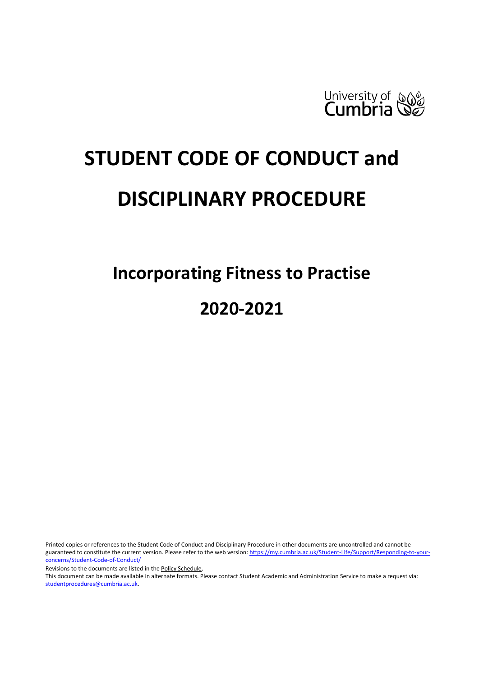

# **STUDENT CODE OF CONDUCT and DISCIPLINARY PROCEDURE**

**Incorporating Fitness to Practise 2020-2021**

Printed copies or references to the Student Code of Conduct and Disciplinary Procedure in other documents are uncontrolled and cannot be guaranteed to constitute the current version. Please refer to the web version[: https://my.cumbria.ac.uk/Student-Life/Support/Responding-to-your](https://my.cumbria.ac.uk/Student-Life/Support/Responding-to-your-concerns/Student-Code-of-Conduct/)[concerns/Student-Code-of-Conduct/](https://my.cumbria.ac.uk/Student-Life/Support/Responding-to-your-concerns/Student-Code-of-Conduct/)

Revisions to the documents are listed in th[e Policy Schedule,](#page-20-0)

This document can be made available in alternate formats. Please contact Student Academic and Administration Service to make a request via: [studentprocedures@cumbria.ac.uk.](mailto:studentprocedures@cumbria.ac.uk)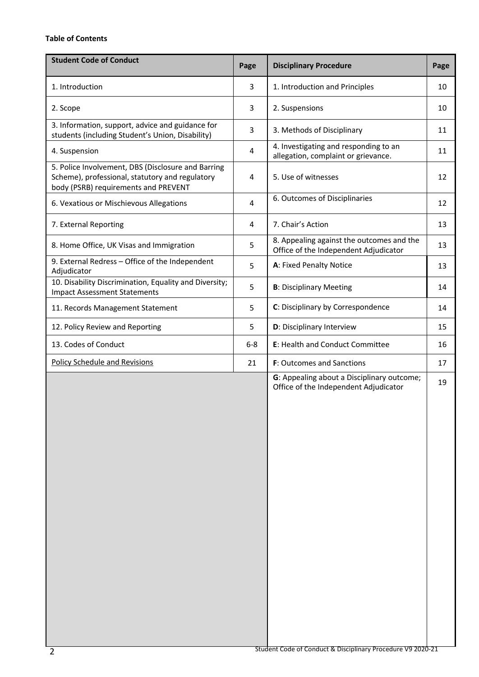# <span id="page-1-0"></span>**Table of Contents**

| <b>Student Code of Conduct</b>                                                                                                                | Page           | <b>Disciplinary Procedure</b>                                                       | Page |
|-----------------------------------------------------------------------------------------------------------------------------------------------|----------------|-------------------------------------------------------------------------------------|------|
| 1. Introduction                                                                                                                               | 3              | 1. Introduction and Principles                                                      | 10   |
| 2. Scope                                                                                                                                      | 3              | 2. Suspensions                                                                      | 10   |
| 3. Information, support, advice and guidance for<br>students (including Student's Union, Disability)                                          | 3              | 3. Methods of Disciplinary                                                          | 11   |
| 4. Suspension                                                                                                                                 | $\overline{4}$ | 4. Investigating and responding to an<br>allegation, complaint or grievance.        | 11   |
| 5. Police Involvement, DBS (Disclosure and Barring<br>Scheme), professional, statutory and regulatory<br>body (PSRB) requirements and PREVENT | 4              | 5. Use of witnesses                                                                 | 12   |
| 6. Vexatious or Mischievous Allegations                                                                                                       | $\overline{4}$ | 6. Outcomes of Disciplinaries                                                       | 12   |
| 7. External Reporting                                                                                                                         | 4              | 7. Chair's Action                                                                   | 13   |
| 8. Home Office, UK Visas and Immigration                                                                                                      | 5              | 8. Appealing against the outcomes and the<br>Office of the Independent Adjudicator  | 13   |
| 9. External Redress - Office of the Independent<br>Adjudicator                                                                                | 5              | A: Fixed Penalty Notice                                                             | 13   |
| 10. Disability Discrimination, Equality and Diversity;<br><b>Impact Assessment Statements</b>                                                 | 5              | <b>B: Disciplinary Meeting</b>                                                      | 14   |
| 11. Records Management Statement                                                                                                              | 5              | C: Disciplinary by Correspondence                                                   | 14   |
| 12. Policy Review and Reporting                                                                                                               | 5              | D: Disciplinary Interview                                                           | 15   |
| 13. Codes of Conduct                                                                                                                          | $6 - 8$        | E: Health and Conduct Committee                                                     | 16   |
| <b>Policy Schedule and Revisions</b>                                                                                                          | 21             | <b>F:</b> Outcomes and Sanctions                                                    | 17   |
|                                                                                                                                               |                | G: Appealing about a Disciplinary outcome;<br>Office of the Independent Adjudicator | 19   |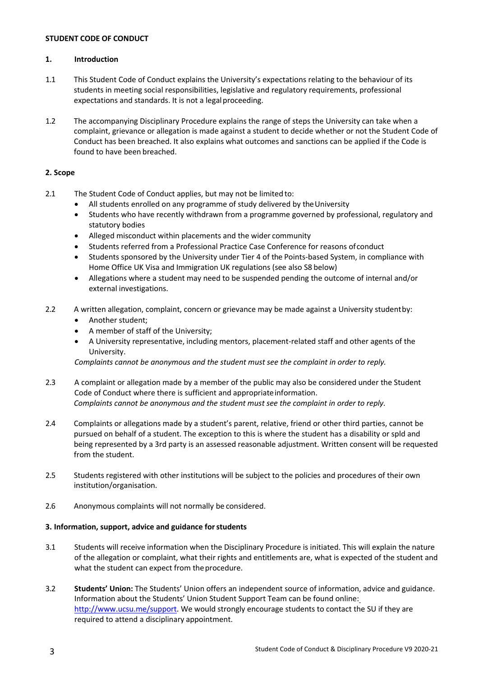#### **STUDENT CODE OF CONDUCT**

#### **1. Introduction**

- 1.1 This Student Code of Conduct explains the University's expectations relating to the behaviour of its students in meeting social responsibilities, legislative and regulatory requirements, professional expectations and standards. It is not a legal proceeding.
- 1.2 The accompanying Disciplinary Procedure explains the range of steps the University can take when a complaint, grievance or allegation is made against a student to decide whether or not the Student Code of Conduct has been breached. It also explains what outcomes and sanctions can be applied if the Code is found to have been breached.

# **2. Scope**

- 2.1 The Student Code of Conduct applies, but may not be limited to:
	- All students enrolled on any programme of study delivered by the University
	- Students who have recently withdrawn from a programme governed by professional, regulatory and statutory bodies
	- Alleged misconduct within placements and the wider community
	- Students referred from a Professional Practice Case Conference for reasons ofconduct
	- Students sponsored by the University under Tier 4 of the Points-based System, in compliance with Home Office UK Visa and Immigration UK regulations (see also S8 below)
	- Allegations where a student may need to be suspended pending the outcome of internal and/or external investigations.
- 2.2 A written allegation, complaint, concern or grievance may be made against a University studentby:
	- Another student;
	- A member of staff of the University;
	- A University representative, including mentors, placement-related staff and other agents of the University.

*Complaints cannot be anonymous and the student must see the complaint in order to reply.*

- 2.3 A complaint or allegation made by a member of the public may also be considered under the Student Code of Conduct where there is sufficient and appropriateinformation. *Complaints cannot be anonymous and the student must see the complaint in order to reply.*
- 2.4 Complaints or allegations made by a student's parent, relative, friend or other third parties, cannot be pursued on behalf of a student. The exception to this is where the student has a disability or spld and being represented by a 3rd party is an assessed reasonable adjustment. Written consent will be requested from the student.
- 2.5 Students registered with other institutions will be subject to the policies and procedures of their own institution/organisation.
- 2.6 Anonymous complaints will not normally be considered.

# **3. Information, support, advice and guidance forstudents**

- 3.1 Students will receive information when the Disciplinary Procedure is initiated. This will explain the nature of the allegation or complaint, what their rights and entitlements are, what is expected of the student and what the student can expect from the procedure.
- 3.2 **Students' Union:** The Students' Union offers an independent source of information, advice and guidance. Information about the Students' Union Student Support Team can be found online: [http://www.ucsu.me/support. W](http://www.ucsu.me/support)e would strongly encourage students to contact the SU if they are required to attend a disciplinary appointment.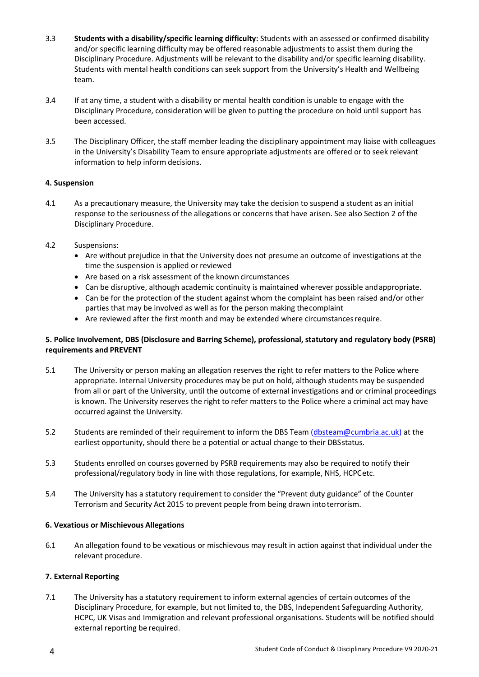- 3.3 **Students with a disability/specific learning difficulty:** Students with an assessed or confirmed disability and/or specific learning difficulty may be offered reasonable adjustments to assist them during the Disciplinary Procedure. Adjustments will be relevant to the disability and/or specific learning disability. Students with mental health conditions can seek support from the University's Health and Wellbeing team.
- 3.4 If at any time, a student with a disability or mental health condition is unable to engage with the Disciplinary Procedure, consideration will be given to putting the procedure on hold until support has been accessed.
- 3.5 The Disciplinary Officer, the staff member leading the disciplinary appointment may liaise with colleagues in the University's Disability Team to ensure appropriate adjustments are offered or to seek relevant information to help inform decisions.

# **4. Suspension**

- 4.1 As a precautionary measure, the University may take the decision to suspend a student as an initial response to the seriousness of the allegations or concerns that have arisen. See also Section 2 of the Disciplinary Procedure.
- 4.2 Suspensions:
	- Are without prejudice in that the University does not presume an outcome of investigations at the time the suspension is applied or reviewed
	- Are based on a risk assessment of the known circumstances
	- Can be disruptive, although academic continuity is maintained wherever possible andappropriate.
	- Can be for the protection of the student against whom the complaint has been raised and/or other parties that may be involved as well as for the person making thecomplaint
	- Are reviewed after the first month and may be extended where circumstancesrequire.

# **5. Police Involvement, DBS (Disclosure and Barring Scheme), professional, statutory and regulatory body (PSRB) requirements and PREVENT**

- 5.1 The University or person making an allegation reserves the right to refer matters to the Police where appropriate. Internal University procedures may be put on hold, although students may be suspended from all or part of the University, until the outcome of external investigations and or criminal proceedings is known. The University reserves the right to refer matters to the Police where a criminal act may have occurred against the University.
- 5.2 Students are reminded of their requirement to inform the DBS Team [\(dbsteam@cumbria.ac.uk\)](mailto:dbsteam@cumbria.ac.uk) at the earliest opportunity, should there be a potential or actual change to their DBSstatus.
- 5.3 Students enrolled on courses governed by PSRB requirements may also be required to notify their professional/regulatory body in line with those regulations, for example, NHS, HCPCetc.
- 5.4 The University has a statutory requirement to consider the "Prevent duty guidance" of the Counter Terrorism and Security Act 2015 to prevent people from being drawn intoterrorism.

# **6. Vexatious or Mischievous Allegations**

6.1 An allegation found to be vexatious or mischievous may result in action against that individual under the relevant procedure.

# **7. External Reporting**

7.1 The University has a statutory requirement to inform external agencies of certain outcomes of the Disciplinary Procedure, for example, but not limited to, the DBS, Independent Safeguarding Authority, HCPC, UK Visas and Immigration and relevant professional organisations. Students will be notified should external reporting be required.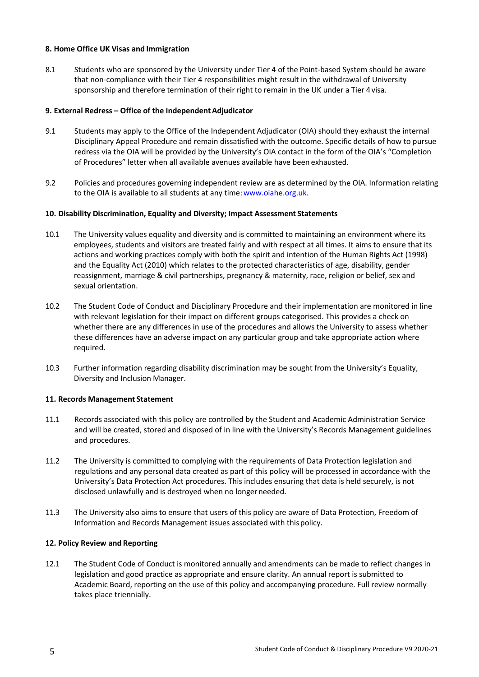#### **8. Home Office UK Visas and Immigration**

8.1 Students who are sponsored by the University under Tier 4 of the Point-based System should be aware that non-compliance with their Tier 4 responsibilities might result in the withdrawal of University sponsorship and therefore termination of their right to remain in the UK under a Tier 4visa.

#### **9. External Redress – Office of the IndependentAdjudicator**

- 9.1 Students may apply to the Office of the Independent Adjudicator (OIA) should they exhaust the internal Disciplinary Appeal Procedure and remain dissatisfied with the outcome. Specific details of how to pursue redress via the OIA will be provided by the University's OIA contact in the form of the OIA's "Completion of Procedures" letter when all available avenues available have been exhausted.
- 9.2 Policies and procedures governing independent review are as determined by the OIA. Information relating to the OIA is available to all students at any time: www.oiahe.org.uk.

#### **10. Disability Discrimination, Equality and Diversity; Impact Assessment Statements**

- 10.1 The University values equality and diversity and is committed to maintaining an environment where its employees, students and visitors are treated fairly and with respect at all times. It aims to ensure that its actions and working practices comply with both the spirit and intention of the Human Rights Act (1998) and the Equality Act (2010) which relates to the protected characteristics of age, disability, gender reassignment, marriage & civil partnerships, pregnancy & maternity, race, religion or belief, sex and sexual orientation.
- 10.2 The Student Code of Conduct and Disciplinary Procedure and their implementation are monitored in line with relevant legislation for their impact on different groups categorised. This provides a check on whether there are any differences in use of the procedures and allows the University to assess whether these differences have an adverse impact on any particular group and take appropriate action where required.
- 10.3 Further information regarding disability discrimination may be sought from the University's Equality, Diversity and Inclusion Manager.

#### **11. Records Management Statement**

- 11.1 Records associated with this policy are controlled by the Student and Academic Administration Service and will be created, stored and disposed of in line with the University's Records Management guidelines and procedures.
- 11.2 The University is committed to complying with the requirements of Data Protection legislation and regulations and any personal data created as part of this policy will be processed in accordance with the University's Data Protection Act procedures. This includes ensuring that data is held securely, is not disclosed unlawfully and is destroyed when no longerneeded.
- 11.3 The University also aims to ensure that users of this policy are aware of Data Protection, Freedom of Information and Records Management issues associated with thispolicy.

#### **12. Policy Review and Reporting**

12.1 The Student Code of Conduct is monitored annually and amendments can be made to reflect changes in legislation and good practice as appropriate and ensure clarity. An annual report is submitted to Academic Board, reporting on the use of this policy and accompanying procedure. Full review normally takes place triennially.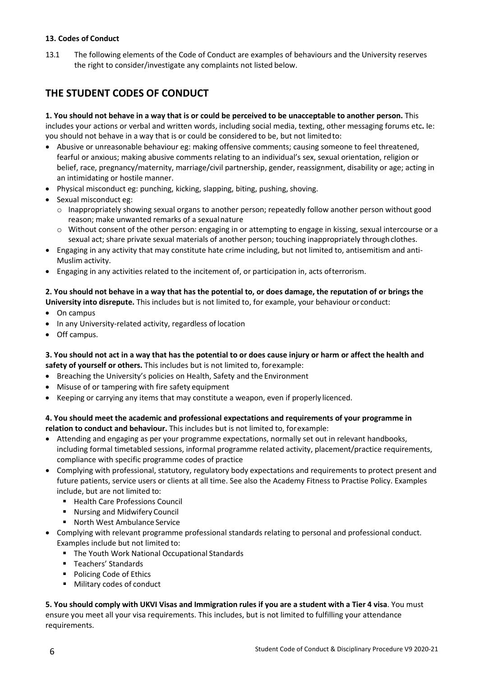# **13. Codes of Conduct**

13.1 The following elements of the Code of Conduct are examples of behaviours and the University reserves the right to consider/investigate any complaints not listed below.

# **THE STUDENT CODES OF CONDUCT**

**1. You should not behave in a way that is or could be perceived to be unacceptable to another person.** This includes your actions or verbal and written words, including social media, texting, other messaging forums etc**.** Ie: you should not behave in a way that is or could be considered to be, but not limitedto:

- Abusive or unreasonable behaviour eg: making offensive comments; causing someone to feel threatened, fearful or anxious; making abusive comments relating to an individual's sex, sexual orientation, religion or belief, race, pregnancy/maternity, marriage/civil partnership, gender, reassignment, disability or age; acting in an intimidating or hostile manner.
- Physical misconduct eg: punching, kicking, slapping, biting, pushing, shoving.
- Sexual misconduct eg:
	- o Inappropriately showing sexual organs to another person; repeatedly follow another person without good reason; make unwanted remarks of a sexualnature
	- $\circ$  Without consent of the other person: engaging in or attempting to engage in kissing, sexual intercourse or a sexual act; share private sexual materials of another person; touching inappropriately through clothes.
- Engaging in any activity that may constitute hate crime including, but not limited to, antisemitism and anti-Muslim activity.
- Engaging in any activities related to the incitement of, or participation in, acts ofterrorism.

#### **2. You should not behave in a way that has the potential to, or does damage, the reputation of or brings the University into disrepute.** This includes but is not limited to, for example, your behaviour or conduct:

- On campus
- In any University-related activity, regardless of location
- Off campus.

#### **3. You should not act in a way that has the potential to or does cause injury or harm or affect the health and safety of yourself or others.** This includes but is not limited to, forexample:

- Breaching the University's policies on Health, Safety and the Environment
- Misuse of or tampering with fire safety equipment
- Keeping or carrying any items that may constitute a weapon, even if properly licenced.

# **4. You should meet the academic and professional expectations and requirements of your programme in relation to conduct and behaviour.** This includes but is not limited to, forexample:

- Attending and engaging as per your programme expectations, normally set out in relevant handbooks, including formal timetabled sessions, informal programme related activity, placement/practice requirements, compliance with specific programme codes of practice
- Complying with professional, statutory, regulatory body expectations and requirements to protect present and future patients, service users or clients at all time. See also the Academy Fitness to Practise Policy. Examples include, but are not limited to:
	- Health Care Professions Council
	- **Nursing and Midwifery Council**
	- North West Ambulance Service
- Complying with relevant programme professional standards relating to personal and professional conduct. Examples include but not limited to:
	- The Youth Work National Occupational Standards
	- **Teachers' Standards**
	- **Policing Code of Ethics**
	- Military codes of conduct

**5. You should comply with UKVI Visas and Immigration rules if you are a student with a Tier 4 visa**. You must ensure you meet all your visa requirements. This includes, but is not limited to fulfilling your attendance requirements.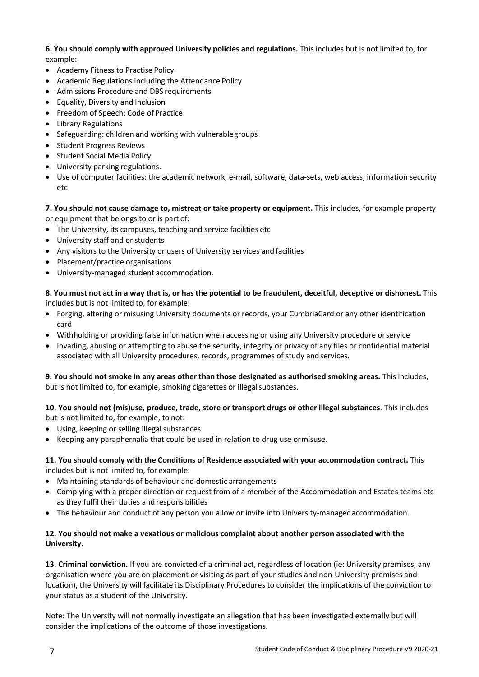**6. You should comply with approved University policies and regulations.** This includes but is not limited to, for example:

- Academy Fitness to Practise Policy
- Academic Regulations including the Attendance Policy
- Admissions Procedure and DBS requirements
- Equality, Diversity and Inclusion
- Freedom of Speech: Code of Practice
- Library Regulations
- Safeguarding: children and working with vulnerablegroups
- Student Progress Reviews
- Student Social Media Policy
- University parking regulations.
- Use of computer facilities: the academic network, e-mail, software, data-sets, web access, information security etc

**7. You should not cause damage to, mistreat or take property or equipment.** This includes, for example property or equipment that belongs to or is part of:

- The University, its campuses, teaching and service facilities etc
- University staff and or students
- Any visitors to the University or users of University services and facilities
- Placement/practice organisations
- University-managed student accommodation.

**8. You must not act in a way that is, or has the potential to be fraudulent, deceitful, deceptive or dishonest.** This includes but is not limited to, for example:

- Forging, altering or misusing University documents or records, your CumbriaCard or any other identification card
- Withholding or providing false information when accessing or using any University procedure orservice
- Invading, abusing or attempting to abuse the security, integrity or privacy of any files or confidential material associated with all University procedures, records, programmes of study and services.

**9. You should not smoke in any areas other than those designated as authorised smoking areas.** This includes, but is not limited to, for example, smoking cigarettes or illegal substances.

**10. You should not (mis)use, produce, trade, store or transport drugs or other illegal substances**. This includes but is not limited to, for example, to not:

- Using, keeping or selling illegal substances
- Keeping any paraphernalia that could be used in relation to drug use ormisuse.

**11. You should comply with the Conditions of Residence associated with your accommodation contract.** This includes but is not limited to, for example:

- Maintaining standards of behaviour and domestic arrangements
- Complying with a proper direction or request from of a member of the Accommodation and Estates teams etc as they fulfil their duties and responsibilities
- The behaviour and conduct of any person you allow or invite into University-managedaccommodation.

# **12. You should not make a vexatious or malicious complaint about another person associated with the University**.

**13. Criminal conviction.** If you are convicted of a criminal act, regardless of location (ie: University premises, any organisation where you are on placement or visiting as part of your studies and non-University premises and location), the University will facilitate its Disciplinary Procedures to consider the implications of the conviction to your status as a student of the University.

Note: The University will not normally investigate an allegation that has been investigated externally but will consider the implications of the outcome of those investigations.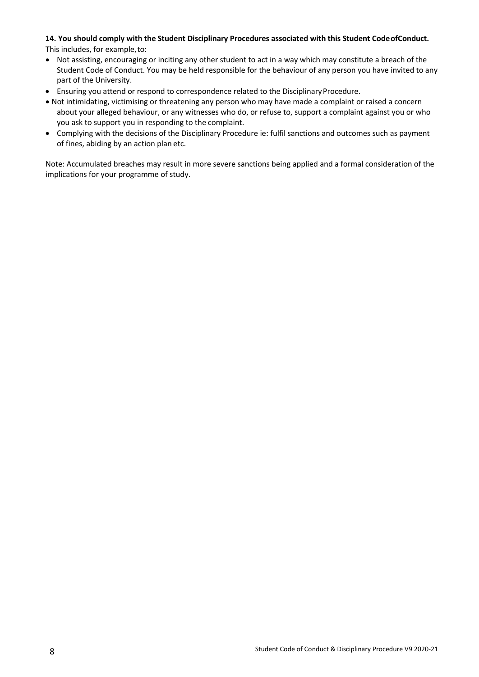# **14. You should comply with the Student Disciplinary Procedures associated with this Student CodeofConduct.**

This includes, for example,to:

- Not assisting, encouraging or inciting any other student to act in a way which may constitute a breach of the Student Code of Conduct. You may be held responsible for the behaviour of any person you have invited to any part of the University.
- Ensuring you attend or respond to correspondence related to the Disciplinary Procedure.
- Not intimidating, victimising or threatening any person who may have made a complaint or raised a concern about your alleged behaviour, or any witnesses who do, or refuse to, support a complaint against you or who you ask to support you in responding to the complaint.
- Complying with the decisions of the Disciplinary Procedure ie: fulfil sanctions and outcomes such as payment of fines, abiding by an action plan etc.

Note: Accumulated breaches may result in more severe sanctions being applied and a formal consideration of the implications for your programme of study.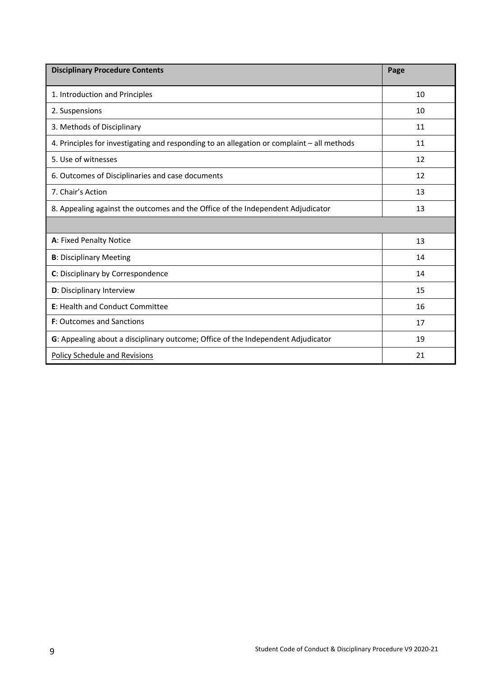| <b>Disciplinary Procedure Contents</b>                                                     | Page |
|--------------------------------------------------------------------------------------------|------|
| 1. Introduction and Principles                                                             | 10   |
| 2. Suspensions                                                                             | 10   |
| 3. Methods of Disciplinary                                                                 | 11   |
| 4. Principles for investigating and responding to an allegation or complaint - all methods | 11   |
| 5. Use of witnesses                                                                        | 12   |
| 6. Outcomes of Disciplinaries and case documents                                           | 12   |
| 7. Chair's Action                                                                          | 13   |
| 8. Appealing against the outcomes and the Office of the Independent Adjudicator            | 13   |
|                                                                                            |      |
| A: Fixed Penalty Notice                                                                    | 13   |
| <b>B</b> : Disciplinary Meeting                                                            | 14   |
| C: Disciplinary by Correspondence                                                          | 14   |
| D: Disciplinary Interview                                                                  | 15   |
| E: Health and Conduct Committee                                                            | 16   |
| <b>F:</b> Outcomes and Sanctions                                                           | 17   |
| G: Appealing about a disciplinary outcome; Office of the Independent Adjudicator           | 19   |
| <b>Policy Schedule and Revisions</b>                                                       | 21   |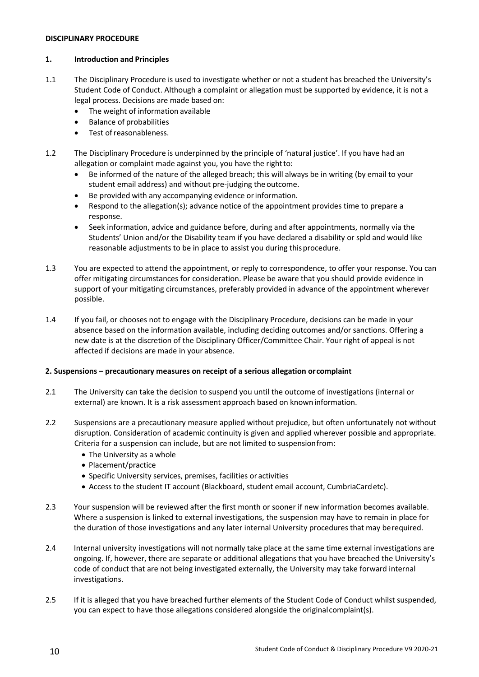#### **DISCIPLINARY PROCEDURE**

#### **1. Introduction and Principles**

- 1.1 The Disciplinary Procedure is used to investigate whether or not a student has breached the University's Student Code of Conduct. Although a complaint or allegation must be supported by evidence, it is not a legal process. Decisions are made based on:
	- The weight of information available
	- Balance of probabilities
	- Test of reasonableness.
- 1.2 The Disciplinary Procedure is underpinned by the principle of 'natural justice'. If you have had an allegation or complaint made against you, you have the rightto:
	- Be informed of the nature of the alleged breach; this will always be in writing (by email to your student email address) and without pre-judging the outcome.
	- Be provided with any accompanying evidence or information.
	- Respond to the allegation(s); advance notice of the appointment provides time to prepare a response.
	- Seek information, advice and guidance before, during and after appointments, normally via the Students' Union and/or the Disability team if you have declared a disability or spld and would like reasonable adjustments to be in place to assist you during thisprocedure.
- 1.3 You are expected to attend the appointment, or reply to correspondence, to offer your response. You can offer mitigating circumstances for consideration. Please be aware that you should provide evidence in support of your mitigating circumstances, preferably provided in advance of the appointment wherever possible.
- 1.4 If you fail, or chooses not to engage with the Disciplinary Procedure, decisions can be made in your absence based on the information available, including deciding outcomes and/or sanctions. Offering a new date is at the discretion of the Disciplinary Officer/Committee Chair. Your right of appeal is not affected if decisions are made in your absence.

# **2. Suspensions – precautionary measures on receipt of a serious allegation orcomplaint**

- 2.1 The University can take the decision to suspend you until the outcome of investigations (internal or external) are known. It is a risk assessment approach based on knowninformation.
- 2.2 Suspensions are a precautionary measure applied without prejudice, but often unfortunately not without disruption. Consideration of academic continuity is given and applied wherever possible and appropriate. Criteria for a suspension can include, but are not limited to suspensionfrom:
	- The University as a whole
	- Placement/practice
	- Specific University services, premises, facilities or activities
	- Access to the student IT account (Blackboard, student email account, CumbriaCardetc).
- 2.3 Your suspension will be reviewed after the first month or sooner if new information becomes available. Where a suspension is linked to external investigations, the suspension may have to remain in place for the duration of those investigations and any later internal University procedures that may berequired.
- 2.4 Internal university investigations will not normally take place at the same time external investigations are ongoing. If, however, there are separate or additional allegations that you have breached the University's code of conduct that are not being investigated externally, the University may take forward internal investigations.
- 2.5 If it is alleged that you have breached further elements of the Student Code of Conduct whilst suspended, you can expect to have those allegations considered alongside the originalcomplaint(s).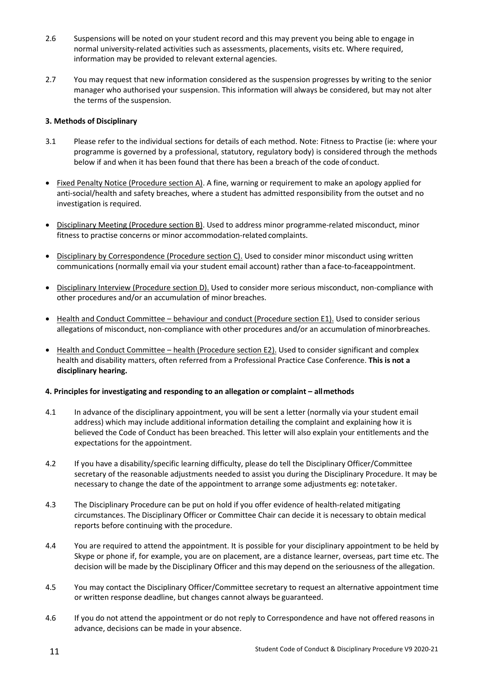- 2.6 Suspensions will be noted on your student record and this may prevent you being able to engage in normal university-related activities such as assessments, placements, visits etc. Where required, information may be provided to relevant external agencies.
- 2.7 You may request that new information considered as the suspension progresses by writing to the senior manager who authorised your suspension. This information will always be considered, but may not alter the terms of the suspension.

# **3. Methods of Disciplinary**

- 3.1 Please refer to the individual sections for details of each method. Note: Fitness to Practise (ie: where your programme is governed by a professional, statutory, regulatory body) is considered through the methods below if and when it has been found that there has been a breach of the code of conduct.
- Fixed Penalty Notice (Procedure section A). A fine, warning or requirement to make an apology applied for anti-social/health and safety breaches, where a student has admitted responsibility from the outset and no investigation is required.
- Disciplinary Meeting (Procedure section B). Used to address minor programme-related misconduct, minor fitness to practise concerns or minor accommodation-related complaints.
- Disciplinary by Correspondence (Procedure section C). Used to consider minor misconduct using written communications (normally email via your student email account) rather than a face-to-faceappointment.
- Disciplinary Interview (Procedure section D). Used to consider more serious misconduct, non-compliance with other procedures and/or an accumulation of minor breaches.
- Health and Conduct Committee behaviour and conduct (Procedure section E1). Used to consider serious allegations of misconduct, non-compliance with other procedures and/or an accumulation ofminorbreaches.
- Health and Conduct Committee health (Procedure section E2). Used to consider significant and complex health and disability matters, often referred from a Professional Practice Case Conference. **This is not a disciplinary hearing.**

#### **4. Principles for investigating and responding to an allegation or complaint – allmethods**

- 4.1 In advance of the disciplinary appointment, you will be sent a letter (normally via your student email address) which may include additional information detailing the complaint and explaining how it is believed the Code of Conduct has been breached. This letter will also explain your entitlements and the expectations for the appointment.
- 4.2 If you have a disability/specific learning difficulty, please do tell the Disciplinary Officer/Committee secretary of the reasonable adjustments needed to assist you during the Disciplinary Procedure. It may be necessary to change the date of the appointment to arrange some adjustments eg: notetaker.
- 4.3 The Disciplinary Procedure can be put on hold if you offer evidence of health-related mitigating circumstances. The Disciplinary Officer or Committee Chair can decide it is necessary to obtain medical reports before continuing with the procedure.
- 4.4 You are required to attend the appointment. It is possible for your disciplinary appointment to be held by Skype or phone if, for example, you are on placement, are a distance learner, overseas, part time etc. The decision will be made by the Disciplinary Officer and this may depend on the seriousness of the allegation.
- 4.5 You may contact the Disciplinary Officer/Committee secretary to request an alternative appointment time or written response deadline, but changes cannot always be guaranteed.
- 4.6 If you do not attend the appointment or do not reply to Correspondence and have not offered reasons in advance, decisions can be made in your absence.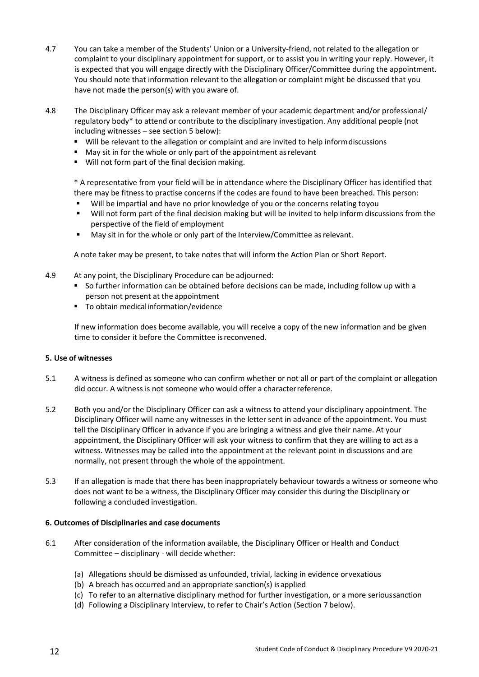- 4.7 You can take a member of the Students' Union or a University-friend, not related to the allegation or complaint to your disciplinary appointment for support, or to assist you in writing your reply. However, it is expected that you will engage directly with the Disciplinary Officer/Committee during the appointment. You should note that information relevant to the allegation or complaint might be discussed that you have not made the person(s) with you aware of.
- 4.8 The Disciplinary Officer may ask a relevant member of your academic department and/or professional/ regulatory body\* to attend or contribute to the disciplinary investigation. Any additional people (not including witnesses – see section 5 below):
	- Will be relevant to the allegation or complaint and are invited to help informdiscussions
	- May sit in for the whole or only part of the appointment as relevant
	- Will not form part of the final decision making.

\* A representative from your field will be in attendance where the Disciplinary Officer has identified that there may be fitness to practise concerns if the codes are found to have been breached. This person:

- Will be impartial and have no prior knowledge of you or the concerns relating toyou
- Will not form part of the final decision making but will be invited to help inform discussions from the perspective of the field of employment
- May sit in for the whole or only part of the Interview/Committee asrelevant.

A note taker may be present, to take notes that will inform the Action Plan or Short Report.

- 4.9 At any point, the Disciplinary Procedure can be adjourned:
	- So further information can be obtained before decisions can be made, including follow up with a person not present at the appointment
	- To obtain medical information/evidence

If new information does become available, you will receive a copy of the new information and be given time to consider it before the Committee isreconvened.

#### **5. Use of witnesses**

- 5.1 A witness is defined as someone who can confirm whether or not all or part of the complaint or allegation did occur. A witness is not someone who would offer a characterreference.
- 5.2 Both you and/or the Disciplinary Officer can ask a witness to attend your disciplinary appointment. The Disciplinary Officer will name any witnesses in the letter sent in advance of the appointment. You must tell the Disciplinary Officer in advance if you are bringing a witness and give their name. At your appointment, the Disciplinary Officer will ask your witness to confirm that they are willing to act as a witness. Witnesses may be called into the appointment at the relevant point in discussions and are normally, not present through the whole of the appointment.
- 5.3 If an allegation is made that there has been inappropriately behaviour towards a witness or someone who does not want to be a witness, the Disciplinary Officer may consider this during the Disciplinary or following a concluded investigation.

#### **6. Outcomes of Disciplinaries and case documents**

- 6.1 After consideration of the information available, the Disciplinary Officer or Health and Conduct Committee – disciplinary - will decide whether:
	- (a) Allegations should be dismissed as unfounded, trivial, lacking in evidence orvexatious
	- (b) A breach has occurred and an appropriate sanction(s) isapplied
	- (c) To refer to an alternative disciplinary method for further investigation, or a more serioussanction
	- (d) Following a Disciplinary Interview, to refer to Chair's Action (Section 7 below).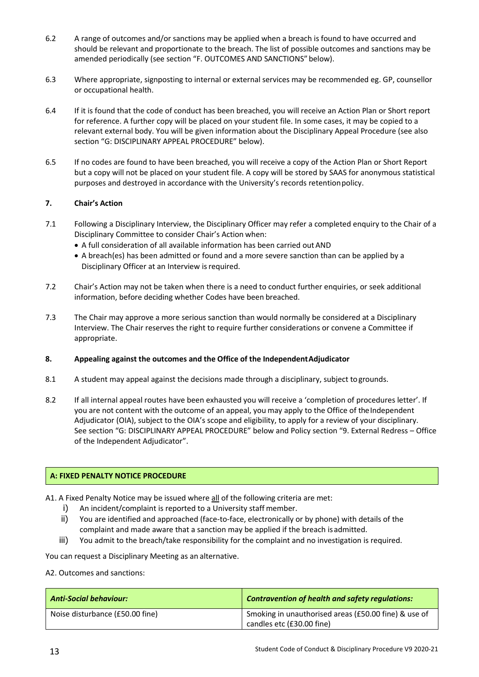- 6.2 A range of outcomes and/or sanctions may be applied when a breach is found to have occurred and should be relevant and proportionate to the breach. The list of possible outcomes and sanctions may be amended periodically (see section "F. OUTCOMES AND SANCTIONS" below).
- 6.3 Where appropriate, signposting to internal or external services may be recommended eg. GP, counsellor or occupational health.
- 6.4 If it is found that the code of conduct has been breached, you will receive an Action Plan or Short report for reference. A further copy will be placed on your student file. In some cases, it may be copied to a relevant external body. You will be given information about the Disciplinary Appeal Procedure (see also section "G: DISCIPLINARY APPEAL PROCEDURE" below).
- 6.5 If no codes are found to have been breached, you will receive a copy of the Action Plan or Short Report but a copy will not be placed on your student file. A copy will be stored by SAAS for anonymous statistical purposes and destroyed in accordance with the University's records retentionpolicy.

# **7. Chair's Action**

- 7.1 Following a Disciplinary Interview, the Disciplinary Officer may refer a completed enquiry to the Chair of a Disciplinary Committee to consider Chair's Action when:
	- A full consideration of all available information has been carried outAND
	- A breach(es) has been admitted or found and a more severe sanction than can be applied by a Disciplinary Officer at an Interview is required.
- 7.2 Chair's Action may not be taken when there is a need to conduct further enquiries, or seek additional information, before deciding whether Codes have been breached.
- 7.3 The Chair may approve a more serious sanction than would normally be considered at a Disciplinary Interview. The Chair reserves the right to require further considerations or convene a Committee if appropriate.
- **8. Appealing against the outcomes and the Office of the IndependentAdjudicator**
- 8.1 A student may appeal against the decisions made through a disciplinary, subject to grounds.
- 8.2 If all internal appeal routes have been exhausted you will receive a 'completion of procedures letter'. If you are not content with the outcome of an appeal, you may apply to the Office of the Independent Adjudicator (OIA), subject to the OIA's scope and eligibility, to apply for a review of your disciplinary. See section "G: DISCIPLINARY APPEAL PROCEDURE" below and Policy section "9. External Redress – Office of the Independent Adjudicator".

#### **A: FIXED PENALTY NOTICE PROCEDURE**

- A1. A Fixed Penalty Notice may be issued where all of the following criteria are met:
	- i) An incident/complaint is reported to a University staff member.
	- ii) You are identified and approached (face-to-face, electronically or by phone) with details of the complaint and made aware that a sanction may be applied if the breach isadmitted.
	- iii) You admit to the breach/take responsibility for the complaint and no investigation is required.

You can request a Disciplinary Meeting as an alternative.

#### A2. Outcomes and sanctions:

| Anti-Social behaviour:          | Contravention of health and safety regulations:                                   |
|---------------------------------|-----------------------------------------------------------------------------------|
| Noise disturbance (£50.00 fine) | Smoking in unauthorised areas (£50.00 fine) & use of<br>candles etc (£30.00 fine) |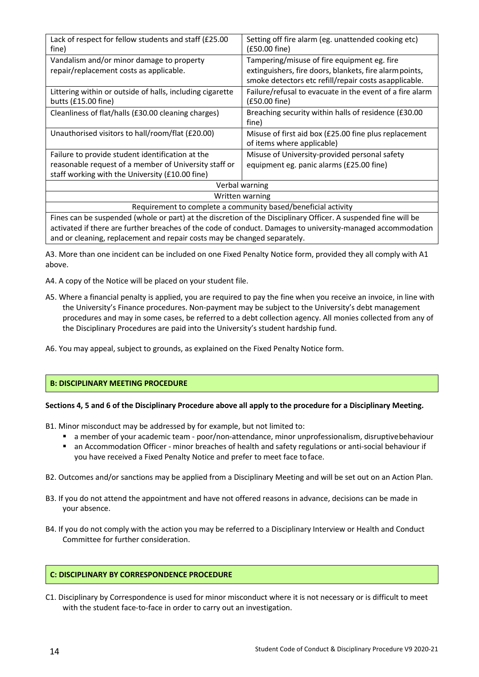| Lack of respect for fellow students and staff (£25.00<br>fine)                                                 | Setting off fire alarm (eg. unattended cooking etc)<br>(£50.00 fine)                |
|----------------------------------------------------------------------------------------------------------------|-------------------------------------------------------------------------------------|
| Vandalism and/or minor damage to property                                                                      | Tampering/misuse of fire equipment eg. fire                                         |
| repair/replacement costs as applicable.                                                                        | extinguishers, fire doors, blankets, fire alarm points,                             |
|                                                                                                                | smoke detectors etc refill/repair costs asapplicable.                               |
| Littering within or outside of halls, including cigarette<br>butts (£15.00 fine)                               | Failure/refusal to evacuate in the event of a fire alarm<br>(£50.00 fine)           |
| Cleanliness of flat/halls (£30.00 cleaning charges)                                                            | Breaching security within halls of residence (£30.00<br>fine)                       |
| Unauthorised visitors to hall/room/flat (£20.00)                                                               | Misuse of first aid box (£25.00 fine plus replacement<br>of items where applicable) |
| Failure to provide student identification at the                                                               | Misuse of University-provided personal safety                                       |
| reasonable request of a member of University staff or                                                          | equipment eg. panic alarms (£25.00 fine)                                            |
| staff working with the University (£10.00 fine)                                                                |                                                                                     |
| Verbal warning                                                                                                 |                                                                                     |
| Written warning                                                                                                |                                                                                     |
| Requirement to complete a community based/beneficial activity                                                  |                                                                                     |
| Fines can be suspended (whole or part) at the discretion of the Disciplinary Officer. A suspended fine will be |                                                                                     |

activated if there are further breaches of the code of conduct. Damages to university-managed accommodation and or cleaning, replacement and repair costs may be changed separately.

A3. More than one incident can be included on one Fixed Penalty Notice form, provided they all comply with A1 above.

- A4. A copy of the Notice will be placed on your student file.
- A5. Where a financial penalty is applied, you are required to pay the fine when you receive an invoice, in line with the University's Finance procedures. Non-payment may be subject to the University's debt management procedures and may in some cases, be referred to a debt collection agency. All monies collected from any of the Disciplinary Procedures are paid into the University's student hardship fund.
- A6. You may appeal, subject to grounds, as explained on the Fixed Penalty Notice form.

# **B: DISCIPLINARY MEETING PROCEDURE**

#### **Sections 4, 5 and 6 of the Disciplinary Procedure above all apply to the procedure for a Disciplinary Meeting.**

- B1. Minor misconduct may be addressed by for example, but not limited to:
	- **a** a member of your academic team poor/non-attendance, minor unprofessionalism, disruptivebehaviour
	- an Accommodation Officer minor breaches of health and safety regulations or anti-social behaviour if you have received a Fixed Penalty Notice and prefer to meet face toface.
- B2. Outcomes and/or sanctions may be applied from a Disciplinary Meeting and will be set out on an Action Plan.
- B3. If you do not attend the appointment and have not offered reasons in advance, decisions can be made in your absence.
- B4. If you do not comply with the action you may be referred to a Disciplinary Interview or Health and Conduct Committee for further consideration.

# **C: DISCIPLINARY BY CORRESPONDENCE PROCEDURE**

C1. Disciplinary by Correspondence is used for minor misconduct where it is not necessary or is difficult to meet with the student face-to-face in order to carry out an investigation.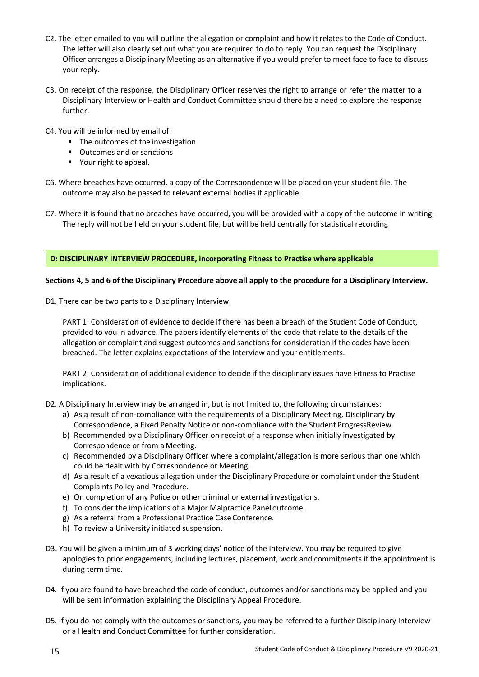- C2. The letter emailed to you will outline the allegation or complaint and how it relates to the Code of Conduct. The letter will also clearly set out what you are required to do to reply. You can request the Disciplinary Officer arranges a Disciplinary Meeting as an alternative if you would prefer to meet face to face to discuss your reply.
- C3. On receipt of the response, the Disciplinary Officer reserves the right to arrange or refer the matter to a Disciplinary Interview or Health and Conduct Committee should there be a need to explore the response further.
- C4. You will be informed by email of:
	- The outcomes of the investigation.
	- Outcomes and or sanctions
	- **•** Your right to appeal.
- C6. Where breaches have occurred, a copy of the Correspondence will be placed on your student file. The outcome may also be passed to relevant external bodies if applicable.
- C7. Where it is found that no breaches have occurred, you will be provided with a copy of the outcome in writing. The reply will not be held on your student file, but will be held centrally for statistical recording

#### **D: DISCIPLINARY INTERVIEW PROCEDURE, incorporating Fitness to Practise where applicable**

#### **Sections 4, 5 and 6 of the Disciplinary Procedure above all apply to the procedure for a Disciplinary Interview.**

D1. There can be two parts to a Disciplinary Interview:

PART 1: Consideration of evidence to decide if there has been a breach of the Student Code of Conduct, provided to you in advance. The papers identify elements of the code that relate to the details of the allegation or complaint and suggest outcomes and sanctions for consideration if the codes have been breached. The letter explains expectations of the Interview and your entitlements.

PART 2: Consideration of additional evidence to decide if the disciplinary issues have Fitness to Practise implications.

- D2. A Disciplinary Interview may be arranged in, but is not limited to, the following circumstances:
	- a) As a result of non-compliance with the requirements of a Disciplinary Meeting, Disciplinary by Correspondence, a Fixed Penalty Notice or non-compliance with the Student ProgressReview.
	- b) Recommended by a Disciplinary Officer on receipt of a response when initially investigated by Correspondence or from a Meeting.
	- c) Recommended by a Disciplinary Officer where a complaint/allegation is more serious than one which could be dealt with by Correspondence or Meeting.
	- d) As a result of a vexatious allegation under the Disciplinary Procedure or complaint under the Student Complaints Policy and Procedure.
	- e) On completion of any Police or other criminal or externalinvestigations.
	- f) To consider the implications of a Major Malpractice Panel outcome.
	- g) As a referral from a Professional Practice CaseConference.
	- h) To review a University initiated suspension.
- D3. You will be given a minimum of 3 working days' notice of the Interview. You may be required to give apologies to prior engagements, including lectures, placement, work and commitments if the appointment is during term time.
- D4. If you are found to have breached the code of conduct, outcomes and/or sanctions may be applied and you will be sent information explaining the Disciplinary Appeal Procedure.
- D5. If you do not comply with the outcomes or sanctions, you may be referred to a further Disciplinary Interview or a Health and Conduct Committee for further consideration.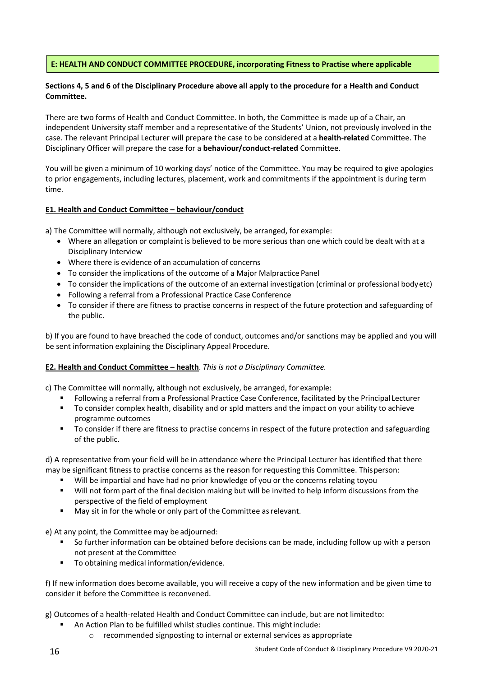# **E: HEALTH AND CONDUCT COMMITTEE PROCEDURE, incorporating Fitness to Practise where applicable**

# **Sections 4, 5 and 6 of the Disciplinary Procedure above all apply to the procedure for a Health and Conduct Committee.**

There are two forms of Health and Conduct Committee. In both, the Committee is made up of a Chair, an independent University staff member and a representative of the Students' Union, not previously involved in the case. The relevant Principal Lecturer will prepare the case to be considered at a **health-related** Committee. The Disciplinary Officer will prepare the case for a **behaviour/conduct-related** Committee.

You will be given a minimum of 10 working days' notice of the Committee. You may be required to give apologies to prior engagements, including lectures, placement, work and commitments if the appointment is during term time.

# **E1. Health and Conduct Committee – behaviour/conduct**

a) The Committee will normally, although not exclusively, be arranged, for example:

- Where an allegation or complaint is believed to be more serious than one which could be dealt with at a Disciplinary Interview
- Where there is evidence of an accumulation of concerns
- To consider the implications of the outcome of a Major Malpractice Panel
- To consider the implications of the outcome of an external investigation (criminal or professional bodyetc)
- Following a referral from a Professional Practice Case Conference
- To consider if there are fitness to practise concerns in respect of the future protection and safeguarding of the public.

b) If you are found to have breached the code of conduct, outcomes and/or sanctions may be applied and you will be sent information explaining the Disciplinary Appeal Procedure.

# **E2. Health and Conduct Committee – health**. *This is not a Disciplinary Committee.*

c) The Committee will normally, although not exclusively, be arranged, for example:

- Following a referral from a Professional Practice Case Conference, facilitated by the Principal Lecturer
- To consider complex health, disability and or spld matters and the impact on your ability to achieve programme outcomes
- **THE TO consider if there are fitness to practise concerns in respect of the future protection and safeguarding** of the public.

d) A representative from your field will be in attendance where the Principal Lecturer has identified that there may be significant fitness to practise concerns as the reason for requesting this Committee. Thisperson:

- Will be impartial and have had no prior knowledge of you or the concerns relating toyou
- Will not form part of the final decision making but will be invited to help inform discussions from the perspective of the field of employment
- **May sit in for the whole or only part of the Committee as relevant.**

e) At any point, the Committee may be adjourned:

- So further information can be obtained before decisions can be made, including follow up with a person not present at the Committee
- To obtaining medical information/evidence.

f) If new information does become available, you will receive a copy of the new information and be given time to consider it before the Committee is reconvened.

g) Outcomes of a health-related Health and Conduct Committee can include, but are not limitedto:

- An Action Plan to be fulfilled whilst studies continue. This might include:
	- $\circ$  recommended signposting to internal or external services as appropriate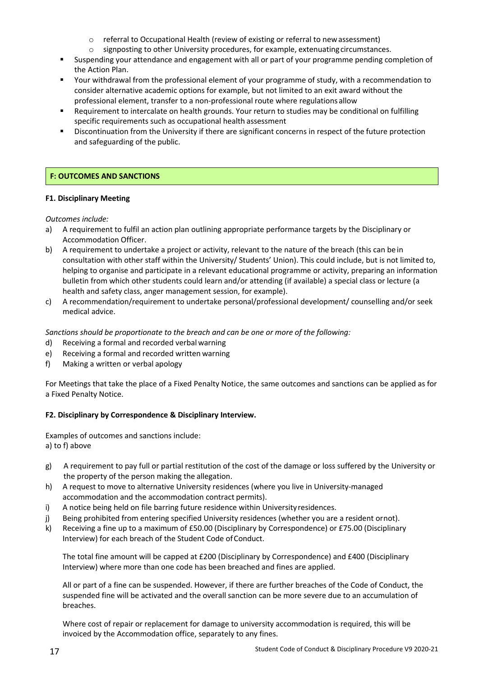- $\circ$  referral to Occupational Health (review of existing or referral to new assessment)<br> $\circ$  signposting to other University procedures, for example, extenuating circumstance
- signposting to other University procedures, for example, extenuating circumstances.
- Suspending your attendance and engagement with all or part of your programme pending completion of the Action Plan.
- Your withdrawal from the professional element of your programme of study, with a recommendation to consider alternative academic options for example, but not limited to an exit award without the professional element, transfer to a non-professional route where regulations allow
- Requirement to intercalate on health grounds. Your return to studies may be conditional on fulfilling specific requirements such as occupational health assessment
- Discontinuation from the University if there are significant concerns in respect of the future protection and safeguarding of the public.

# **F: OUTCOMES AND SANCTIONS**

# **F1. Disciplinary Meeting**

*Outcomes include:*

- a) A requirement to fulfil an action plan outlining appropriate performance targets by the Disciplinary or Accommodation Officer.
- b) A requirement to undertake a project or activity, relevant to the nature of the breach (this can be in consultation with other staff within the University/ Students' Union). This could include, but is not limited to, helping to organise and participate in a relevant educational programme or activity, preparing an information bulletin from which other students could learn and/or attending (if available) a special class or lecture (a health and safety class, anger management session, for example).
- c) A recommendation/requirement to undertake personal/professional development/ counselling and/or seek medical advice.

*Sanctions should be proportionate to the breach and can be one or more of the following:*

- d) Receiving a formal and recorded verbalwarning
- e) Receiving a formal and recorded written warning
- f) Making a written or verbal apology

For Meetings that take the place of a Fixed Penalty Notice, the same outcomes and sanctions can be applied as for a Fixed Penalty Notice.

# **F2. Disciplinary by Correspondence & Disciplinary Interview.**

Examples of outcomes and sanctions include: a) to f) above

- g) A requirement to pay full or partial restitution of the cost of the damage or loss suffered by the University or the property of the person making the allegation.
- h) A request to move to alternative University residences (where you live in University-managed accommodation and the accommodation contract permits).
- i) A notice being held on file barring future residence within Universityresidences.
- j) Being prohibited from entering specified University residences (whether you are a resident ornot).
- k) Receiving a fine up to a maximum of £50.00 (Disciplinary by Correspondence) or £75.00 (Disciplinary Interview) for each breach of the Student Code of Conduct.

The total fine amount will be capped at £200 (Disciplinary by Correspondence) and £400 (Disciplinary Interview) where more than one code has been breached and fines are applied.

All or part of a fine can be suspended. However, if there are further breaches of the Code of Conduct, the suspended fine will be activated and the overall sanction can be more severe due to an accumulation of breaches.

Where cost of repair or replacement for damage to university accommodation is required, this will be invoiced by the Accommodation office, separately to any fines.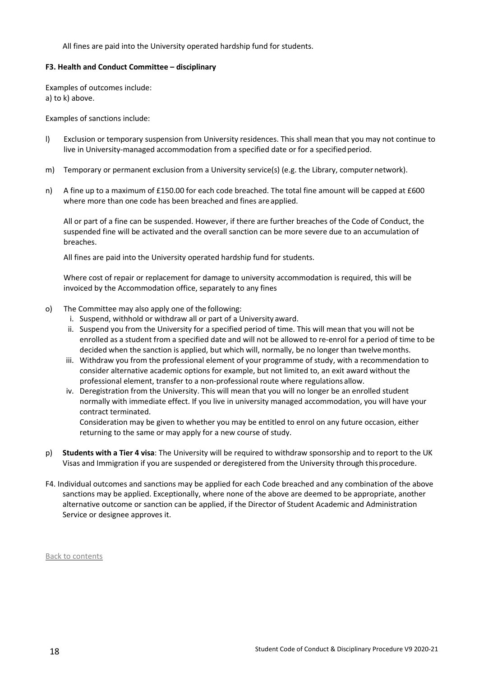All fines are paid into the University operated hardship fund for students.

#### **F3. Health and Conduct Committee – disciplinary**

Examples of outcomes include: a) to k) above.

Examples of sanctions include:

- l) Exclusion or temporary suspension from University residences. This shall mean that you may not continue to live in University-managed accommodation from a specified date or for a specified period.
- m) Temporary or permanent exclusion from a University service(s) (e.g. the Library, computer network).
- n) A fine up to a maximum of £150.00 for each code breached. The total fine amount will be capped at £600 where more than one code has been breached and fines are applied.

All or part of a fine can be suspended. However, if there are further breaches of the Code of Conduct, the suspended fine will be activated and the overall sanction can be more severe due to an accumulation of breaches.

All fines are paid into the University operated hardship fund for students.

Where cost of repair or replacement for damage to university accommodation is required, this will be invoiced by the Accommodation office, separately to any fines

- o) The Committee may also apply one of the following:
	- i. Suspend, withhold or withdraw all or part of a University award.
	- ii. Suspend you from the University for a specified period of time. This will mean that you will not be enrolled as a student from a specified date and will not be allowed to re-enrol for a period of time to be decided when the sanction is applied, but which will, normally, be no longer than twelvemonths.
	- iii. Withdraw you from the professional element of your programme of study, with a recommendation to consider alternative academic options for example, but not limited to, an exit award without the professional element, transfer to a non-professional route where regulations allow.
	- iv. Deregistration from the University. This will mean that you will no longer be an enrolled student normally with immediate effect. If you live in university managed accommodation, you will have your contract terminated.

Consideration may be given to whether you may be entitled to enrol on any future occasion, either returning to the same or may apply for a new course of study.

- p) **Students with a Tier 4 visa**: The University will be required to withdraw sponsorship and to report to the UK Visas and Immigration if you are suspended or deregistered from the University through thisprocedure.
- F4. Individual outcomes and sanctions may be applied for each Code breached and any combination of the above sanctions may be applied. Exceptionally, where none of the above are deemed to be appropriate, another alternative outcome or sanction can be applied, if the Director of Student Academic and Administration Service or designee approves it.

[Back to contents](#page-1-0)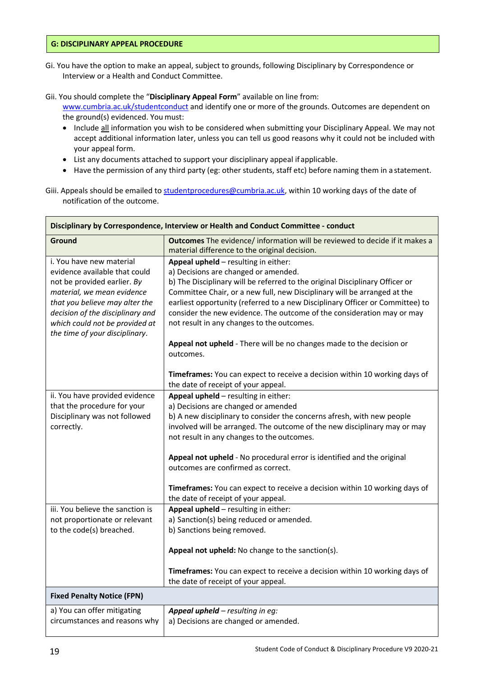#### **G: DISCIPLINARY APPEAL PROCEDURE**

- Gi. You have the option to make an appeal, subject to grounds, following Disciplinary by Correspondence or Interview or a Health and Conduct Committee.
- Gii. You should complete the "**Disciplinary Appeal Form**" available on line from:

[www.cumbria.ac.uk/studentconduct](http://www.cumbria.ac.uk/studentconduct) and identify one or more of the grounds. Outcomes are dependent on the ground(s) evidenced. You must:

- Include all information you wish to be considered when submitting your Disciplinary Appeal. We may not accept additional information later, unless you can tell us good reasons why it could not be included with your appeal form.
- List any documents attached to support your disciplinary appeal if applicable.
- Have the permission of any third party (eg: other students, staff etc) before naming them in a statement.
- Giii. Appeals should be emailed to [studentprocedures@cumbria.ac.uk, w](mailto:studentprocedures@cumbria.ac.uk)ithin 10 working days of the date of notification of the outcome.

| Disciplinary by Correspondence, Interview or Health and Conduct Committee - conduct              |                                                                                                                                                                                                                                     |
|--------------------------------------------------------------------------------------------------|-------------------------------------------------------------------------------------------------------------------------------------------------------------------------------------------------------------------------------------|
| Ground                                                                                           | Outcomes The evidence/ information will be reviewed to decide if it makes a<br>material difference to the original decision.                                                                                                        |
| i. You have new material<br>evidence available that could<br>not be provided earlier. By         | Appeal upheld - resulting in either:<br>a) Decisions are changed or amended.<br>b) The Disciplinary will be referred to the original Disciplinary Officer or                                                                        |
| material, we mean evidence<br>that you believe may alter the<br>decision of the disciplinary and | Committee Chair, or a new full, new Disciplinary will be arranged at the<br>earliest opportunity (referred to a new Disciplinary Officer or Committee) to<br>consider the new evidence. The outcome of the consideration may or may |
| which could not be provided at<br>the time of your disciplinary.                                 | not result in any changes to the outcomes.                                                                                                                                                                                          |
|                                                                                                  | Appeal not upheld - There will be no changes made to the decision or<br>outcomes.                                                                                                                                                   |
|                                                                                                  | Timeframes: You can expect to receive a decision within 10 working days of<br>the date of receipt of your appeal.                                                                                                                   |
| ii. You have provided evidence                                                                   | Appeal upheld - resulting in either:                                                                                                                                                                                                |
| that the procedure for your                                                                      | a) Decisions are changed or amended                                                                                                                                                                                                 |
| Disciplinary was not followed<br>correctly.                                                      | b) A new disciplinary to consider the concerns afresh, with new people<br>involved will be arranged. The outcome of the new disciplinary may or may<br>not result in any changes to the outcomes.                                   |
|                                                                                                  | Appeal not upheld - No procedural error is identified and the original<br>outcomes are confirmed as correct.                                                                                                                        |
|                                                                                                  | Timeframes: You can expect to receive a decision within 10 working days of<br>the date of receipt of your appeal.                                                                                                                   |
| iii. You believe the sanction is                                                                 | Appeal upheld - resulting in either:                                                                                                                                                                                                |
| not proportionate or relevant                                                                    | a) Sanction(s) being reduced or amended.                                                                                                                                                                                            |
| to the code(s) breached.                                                                         | b) Sanctions being removed.                                                                                                                                                                                                         |
|                                                                                                  | Appeal not upheld: No change to the sanction(s).                                                                                                                                                                                    |
|                                                                                                  | Timeframes: You can expect to receive a decision within 10 working days of<br>the date of receipt of your appeal.                                                                                                                   |
| <b>Fixed Penalty Notice (FPN)</b>                                                                |                                                                                                                                                                                                                                     |
| a) You can offer mitigating                                                                      | Appeal upheld - resulting in eg:                                                                                                                                                                                                    |
| circumstances and reasons why                                                                    | a) Decisions are changed or amended.                                                                                                                                                                                                |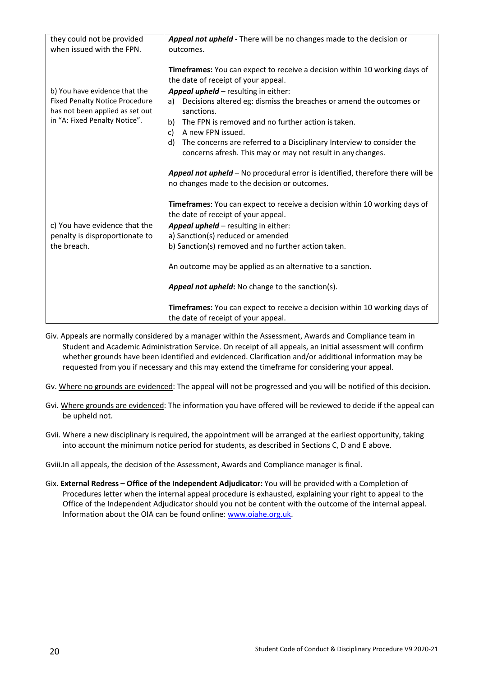| they could not be provided<br>when issued with the FPN.                  | Appeal not upheld - There will be no changes made to the decision or<br>outcomes.                                                          |
|--------------------------------------------------------------------------|--------------------------------------------------------------------------------------------------------------------------------------------|
|                                                                          | Timeframes: You can expect to receive a decision within 10 working days of<br>the date of receipt of your appeal.                          |
| b) You have evidence that the                                            | Appeal upheld - resulting in either:                                                                                                       |
| <b>Fixed Penalty Notice Procedure</b><br>has not been applied as set out | Decisions altered eg: dismiss the breaches or amend the outcomes or<br>a)<br>sanctions.                                                    |
| in "A: Fixed Penalty Notice".                                            | The FPN is removed and no further action is taken.<br>b)<br>A new FPN issued.<br>c)                                                        |
|                                                                          | The concerns are referred to a Disciplinary Interview to consider the<br>d)<br>concerns afresh. This may or may not result in any changes. |
|                                                                          | Appeal not upheld - No procedural error is identified, therefore there will be<br>no changes made to the decision or outcomes.             |
|                                                                          | Timeframes: You can expect to receive a decision within 10 working days of<br>the date of receipt of your appeal.                          |
| c) You have evidence that the                                            | Appeal upheld - resulting in either:                                                                                                       |
| penalty is disproportionate to                                           | a) Sanction(s) reduced or amended                                                                                                          |
| the breach.                                                              | b) Sanction(s) removed and no further action taken.                                                                                        |
|                                                                          | An outcome may be applied as an alternative to a sanction.                                                                                 |
|                                                                          | <b>Appeal not upheld:</b> No change to the sanction(s).                                                                                    |
|                                                                          | Timeframes: You can expect to receive a decision within 10 working days of<br>the date of receipt of your appeal.                          |

- Giv. Appeals are normally considered by a manager within the Assessment, Awards and Compliance team in Student and Academic Administration Service. On receipt of all appeals, an initial assessment will confirm whether grounds have been identified and evidenced. Clarification and/or additional information may be requested from you if necessary and this may extend the timeframe for considering your appeal.
- Gv. Where no grounds are evidenced: The appeal will not be progressed and you will be notified of this decision.
- Gvi. Where grounds are evidenced: The information you have offered will be reviewed to decide if the appeal can be upheld not.
- Gvii. Where a new disciplinary is required, the appointment will be arranged at the earliest opportunity, taking into account the minimum notice period for students, as described in Sections C, D and E above.

Gviii.In all appeals, the decision of the Assessment, Awards and Compliance manager is final.

Gix. **External Redress – Office of the Independent Adjudicator:** You will be provided with a Completion of Procedures letter when the internal appeal procedure is exhausted, explaining your right to appeal to the Office of the Independent Adjudicator should you not be content with the outcome of the internal appeal. Information about the OIA can be found online[: www.oiahe.org.uk.](http://www.oiahe.org.uk/)